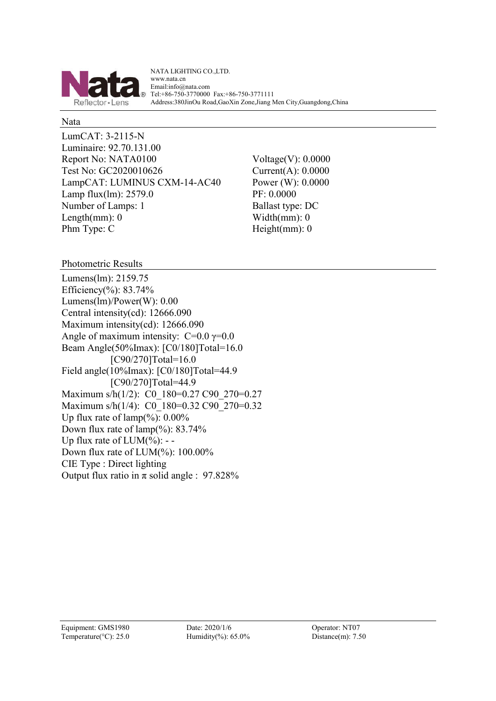

NATA LIGHTING CO.,LTD. www.nata.cn Email:info@nata.com Tel:+86-750-3770000 Fax:+86-750-3771111 Address:380JinOu Road,GaoXin Zone,Jiang Men City,Guangdong,China

#### Nata

LumCAT: 3-2115-N Luminaire: 92.70.131.00 Report No: NATA0100 Voltage(V): 0.0000 Test No: GC2020010626 Current(A): 0.0000 LampCAT: LUMINUS CXM-14-AC40 Power (W): 0.0000 Lamp flux(lm): 2579.0 PF: 0.0000 Number of Lamps: 1 Ballast type: DC Length(mm):  $0$  Width(mm): 0 Phm Type: C Height(mm): 0

Photometric Results

Lumens(lm): 2159.75 Efficiency(%):  $83.74%$ Lumens(lm)/Power(W): 0.00 Central intensity(cd): 12666.090 Maximum intensity(cd): 12666.090 Angle of maximum intensity:  $C=0.0$   $\gamma=0.0$ Beam Angle(50%Imax): [C0/180]Total=16.0 [C90/270]Total=16.0 Field angle(10%Imax): [C0/180]Total=44.9 [C90/270]Total=44.9 Maximum s/h(1/2): C0\_180=0.27 C90\_270=0.27 Maximum s/h(1/4): C0\_180=0.32 C90\_270=0.32 Up flux rate of  $\text{lamp}(\%): 0.00\%$ Down flux rate of  $\text{lamp}(\%): 83.74\%$ Up flux rate of  $LUM(\%)$ : --Down flux rate of LUM(%): 100.00% CIE Type : Direct lighting Output flux ratio in  $\pi$  solid angle : 97.828%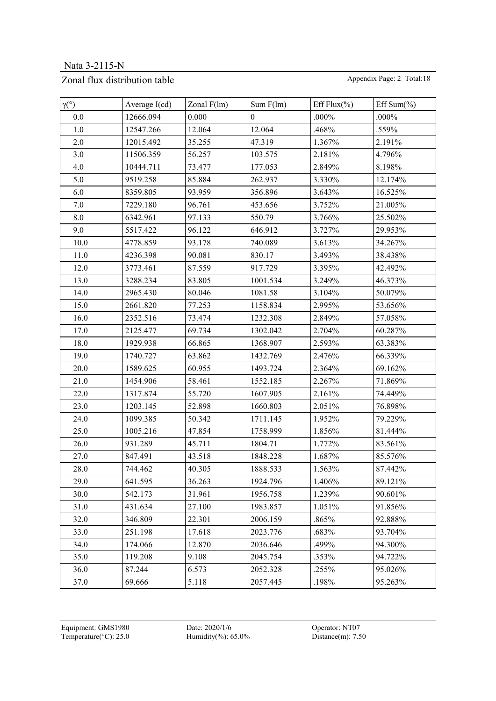## Zonal flux distribution table Appendix Page: 2 Total:18

| $\gamma (^\circ)$ | Average $I(cd)$ | Zonal $F(lm)$ | Sum F(lm)    | Eff Flux $(\% )$ | Eff Sum $(\% )$ |
|-------------------|-----------------|---------------|--------------|------------------|-----------------|
| 0.0               | 12666.094       | 0.000         | $\mathbf{0}$ | $.000\%$         | $.000\%$        |
| 1.0               | 12547.266       | 12.064        | 12.064       | .468%            | .559%           |
| 2.0               | 12015.492       | 35.255        | 47.319       | 1.367%           | 2.191%          |
| 3.0               | 11506.359       | 56.257        | 103.575      | 2.181%           | 4.796%          |
| 4.0               | 10444.711       | 73.477        | 177.053      | 2.849%           | 8.198%          |
| 5.0               | 9519.258        | 85.884        | 262.937      | 3.330%           | 12.174%         |
| 6.0               | 8359.805        | 93.959        | 356.896      | 3.643%           | 16.525%         |
| 7.0               | 7229.180        | 96.761        | 453.656      | 3.752%           | 21.005%         |
| 8.0               | 6342.961        | 97.133        | 550.79       | 3.766%           | 25.502%         |
| 9.0               | 5517.422        | 96.122        | 646.912      | 3.727%           | 29.953%         |
| 10.0              | 4778.859        | 93.178        | 740.089      | 3.613%           | 34.267%         |
| 11.0              | 4236.398        | 90.081        | 830.17       | 3.493%           | 38.438%         |
| 12.0              | 3773.461        | 87.559        | 917.729      | 3.395%           | 42.492%         |
| 13.0              | 3288.234        | 83.805        | 1001.534     | 3.249%           | 46.373%         |
| 14.0              | 2965.430        | 80.046        | 1081.58      | 3.104%           | 50.079%         |
| 15.0              | 2661.820        | 77.253        | 1158.834     | 2.995%           | 53.656%         |
| 16.0              | 2352.516        | 73.474        | 1232.308     | 2.849%           | 57.058%         |
| 17.0              | 2125.477        | 69.734        | 1302.042     | 2.704%           | 60.287%         |
| 18.0              | 1929.938        | 66.865        | 1368.907     | 2.593%           | 63.383%         |
| 19.0              | 1740.727        | 63.862        | 1432.769     | 2.476%           | 66.339%         |
| 20.0              | 1589.625        | 60.955        | 1493.724     | 2.364%           | 69.162%         |
| 21.0              | 1454.906        | 58.461        | 1552.185     | 2.267%           | 71.869%         |
| 22.0              | 1317.874        | 55.720        | 1607.905     | 2.161%           | 74.449%         |
| 23.0              | 1203.145        | 52.898        | 1660.803     | 2.051%           | 76.898%         |
| 24.0              | 1099.385        | 50.342        | 1711.145     | 1.952%           | 79.229%         |
| 25.0              | 1005.216        | 47.854        | 1758.999     | 1.856%           | 81.444%         |
| 26.0              | 931.289         | 45.711        | 1804.71      | 1.772%           | 83.561%         |
| 27.0              | 847.491         | 43.518        | 1848.228     | 1.687%           | 85.576%         |
| 28.0              | 744.462         | 40.305        | 1888.533     | 1.563%           | 87.442%         |
| 29.0              | 641.595         | 36.263        | 1924.796     | 1.406%           | 89.121%         |
| 30.0              | 542.173         | 31.961        | 1956.758     | 1.239%           | 90.601%         |
| 31.0              | 431.634         | 27.100        | 1983.857     | 1.051%           | 91.856%         |
| 32.0              | 346.809         | 22.301        | 2006.159     | .865%            | 92.888%         |
| 33.0              | 251.198         | 17.618        | 2023.776     | .683%            | 93.704%         |
| 34.0              | 174.066         | 12.870        | 2036.646     | .499%            | 94.300%         |
| 35.0              | 119.208         | 9.108         | 2045.754     | .353%            | 94.722%         |
| 36.0              | 87.244          | 6.573         | 2052.328     | .255%            | 95.026%         |
| 37.0              | 69.666          | 5.118         | 2057.445     | .198%            | 95.263%         |

Equipment: GMS1980 Date: 2020/1/6 Operator: NT07 Temperature(°C): 25.0 Humidity(%): 65.0% Distance(m): 7.50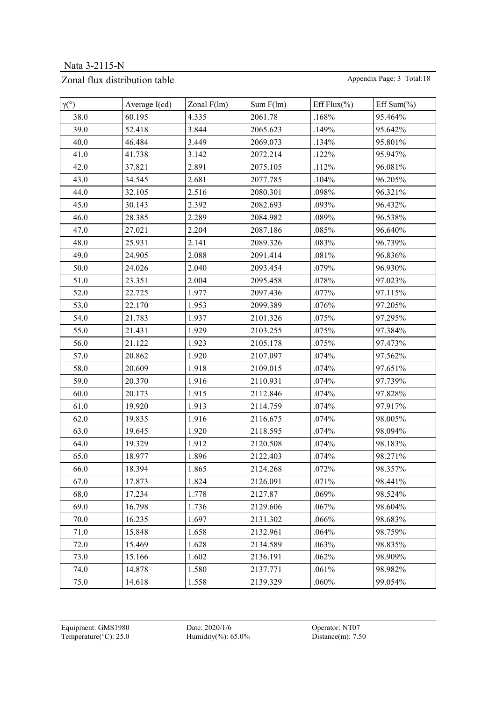## Zonal flux distribution table Appendix Page: 3 Total:18

| $\gamma$ <sup>(°)</sup> | Average $I(cd)$ | Zonal $F(lm)$ | Sum F(lm) | Eff Flux $(\% )$ | Eff Sum( $\%$ ) |
|-------------------------|-----------------|---------------|-----------|------------------|-----------------|
| 38.0                    | 60.195          | 4.335         | 2061.78   | .168%            | 95.464%         |
| 39.0                    | 52.418          | 3.844         | 2065.623  | .149%            | 95.642%         |
| 40.0                    | 46.484          | 3.449         | 2069.073  | .134%            | 95.801%         |
| 41.0                    | 41.738          | 3.142         | 2072.214  | .122%            | 95.947%         |
| 42.0                    | 37.821          | 2.891         | 2075.105  | .112%            | 96.081%         |
| 43.0                    | 34.545          | 2.681         | 2077.785  | .104%            | 96.205%         |
| 44.0                    | 32.105          | 2.516         | 2080.301  | .098%            | 96.321%         |
| 45.0                    | 30.143          | 2.392         | 2082.693  | .093%            | 96.432%         |
| 46.0                    | 28.385          | 2.289         | 2084.982  | .089%            | 96.538%         |
| 47.0                    | 27.021          | 2.204         | 2087.186  | .085%            | 96.640%         |
| 48.0                    | 25.931          | 2.141         | 2089.326  | .083%            | 96.739%         |
| 49.0                    | 24.905          | 2.088         | 2091.414  | .081%            | 96.836%         |
| 50.0                    | 24.026          | 2.040         | 2093.454  | .079%            | 96.930%         |
| 51.0                    | 23.351          | 2.004         | 2095.458  | .078%            | 97.023%         |
| 52.0                    | 22.725          | 1.977         | 2097.436  | .077%            | 97.115%         |
| 53.0                    | 22.170          | 1.953         | 2099.389  | .076%            | 97.205%         |
| 54.0                    | 21.783          | 1.937         | 2101.326  | .075%            | 97.295%         |
| 55.0                    | 21.431          | 1.929         | 2103.255  | .075%            | 97.384%         |
| 56.0                    | 21.122          | 1.923         | 2105.178  | .075%            | 97.473%         |
| 57.0                    | 20.862          | 1.920         | 2107.097  | .074%            | 97.562%         |
| 58.0                    | 20.609          | 1.918         | 2109.015  | .074%            | 97.651%         |
| 59.0                    | 20.370          | 1.916         | 2110.931  | .074%            | 97.739%         |
| 60.0                    | 20.173          | 1.915         | 2112.846  | .074%            | 97.828%         |
| 61.0                    | 19.920          | 1.913         | 2114.759  | .074%            | 97.917%         |
| 62.0                    | 19.835          | 1.916         | 2116.675  | .074%            | 98.005%         |
| 63.0                    | 19.645          | 1.920         | 2118.595  | .074%            | 98.094%         |
| 64.0                    | 19.329          | 1.912         | 2120.508  | .074%            | 98.183%         |
| 65.0                    | 18.977          | 1.896         | 2122.403  | .074%            | 98.271%         |
| 66.0                    | 18.394          | 1.865         | 2124.268  | .072%            | 98.357%         |
| 67.0                    | 17.873          | 1.824         | 2126.091  | .071%            | 98.441%         |
| 68.0                    | 17.234          | 1.778         | 2127.87   | .069%            | 98.524%         |
| 69.0                    | 16.798          | 1.736         | 2129.606  | .067%            | 98.604%         |
| 70.0                    | 16.235          | 1.697         | 2131.302  | .066%            | 98.683%         |
| 71.0                    | 15.848          | 1.658         | 2132.961  | .064%            | 98.759%         |
| 72.0                    | 15.469          | 1.628         | 2134.589  | .063%            | 98.835%         |
| 73.0                    | 15.166          | 1.602         | 2136.191  | .062%            | 98.909%         |
| 74.0                    | 14.878          | 1.580         | 2137.771  | .061%            | 98.982%         |
| 75.0                    | 14.618          | 1.558         | 2139.329  | .060%            | 99.054%         |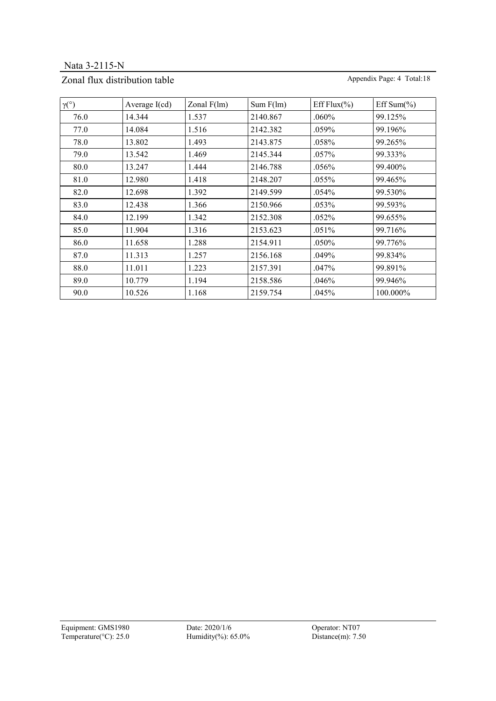Nata 3-2115-N

## Zonal flux distribution table Appendix Page: 4 Total:18

| $\gamma$ <sup>(°)</sup> | Average $I(cd)$ | Zonal $F(lm)$ | Sum F(lm) | Eff Flux $(\% )$ | Eff Sum( $\%$ ) |
|-------------------------|-----------------|---------------|-----------|------------------|-----------------|
| 76.0                    | 14.344          | 1.537         | 2140.867  | .060%            | 99.125%         |
| 77.0                    | 14.084          | 1.516         | 2142.382  | .059%            | 99.196%         |
| 78.0                    | 13.802          | 1.493         | 2143.875  | .058%            | 99.265%         |
| 79.0                    | 13.542          | 1.469         | 2145.344  | $.057\%$         | 99.333%         |
| 80.0                    | 13.247          | 1.444         | 2146.788  | .056%            | 99.400%         |
| 81.0                    | 12.980          | 1.418         | 2148.207  | .055%            | 99.465%         |
| 82.0                    | 12.698          | 1.392         | 2149.599  | .054%            | 99.530%         |
| 83.0                    | 12.438          | 1.366         | 2150.966  | .053%            | 99.593%         |
| 84.0                    | 12.199          | 1.342         | 2152.308  | .052%            | 99.655%         |
| 85.0                    | 11.904          | 1.316         | 2153.623  | .051%            | 99.716%         |
| 86.0                    | 11.658          | 1.288         | 2154.911  | .050%            | 99.776%         |
| 87.0                    | 11.313          | 1.257         | 2156.168  | .049%            | 99.834%         |
| 88.0                    | 11.011          | 1.223         | 2157.391  | .047%            | 99.891%         |
| 89.0                    | 10.779          | 1.194         | 2158.586  | .046%            | 99.946%         |
| 90.0                    | 10.526          | 1.168         | 2159.754  | .045%            | 100.000%        |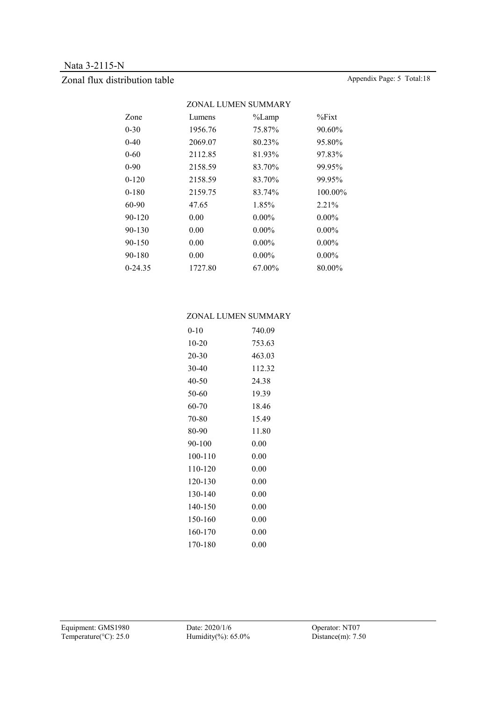## Zonal flux distribution table Appendix Page: 5 Total:18

|           | ZONAL LUMEN SUMMARY |           |           |
|-----------|---------------------|-----------|-----------|
| Zone      | Lumens              | $\%$ Lamp | $\%$ Fixt |
| 0-30      | 1956.76             | 75.87%    | 90.60%    |
| $0 - 40$  | 2069.07             | 80.23%    | 95.80%    |
| 0-60      | 2112.85             | 81.93%    | 97.83%    |
| 0-90      | 2158.59             | 83.70%    | 99.95%    |
| $0 - 120$ | 2158.59             | 83.70%    | 99.95%    |
| 0-180     | 2159.75             | 83.74%    | 100.00%   |
| 60-90     | 47.65               | 1.85%     | 2.21%     |
| 90-120    | 0.00                | $0.00\%$  | $0.00\%$  |
| 90-130    | 0.00                | $0.00\%$  | $0.00\%$  |
| 90-150    | 0.00                | $0.00\%$  | $0.00\%$  |
| 90-180    | 0.00                | $0.00\%$  | $0.00\%$  |
| 0-24.35   | 1727.80             | 67.00%    | 80.00%    |
|           |                     |           |           |

#### ZONAL LUMEN SUMMARY

| $0 - 10$ | 740.09   |
|----------|----------|
| $10-20$  | 753.63   |
| 20-30    | 463.03   |
| 30-40    | 112.32   |
| 40-50    | 24.38    |
| 50-60    | 19.39    |
| 60-70    | 18.46    |
| 70-80    | 15.49    |
| 80-90    | 11.80    |
|          |          |
| 90-100   | $0.00\,$ |
| 100-110  | $0.00\,$ |
| 110-120  | 0.00     |
| 120-130  | $0.00\,$ |
| 130-140  | $0.00\,$ |
| 140-150  | $0.00\,$ |
| 150-160  | 0.00     |
| 160-170  | $0.00\,$ |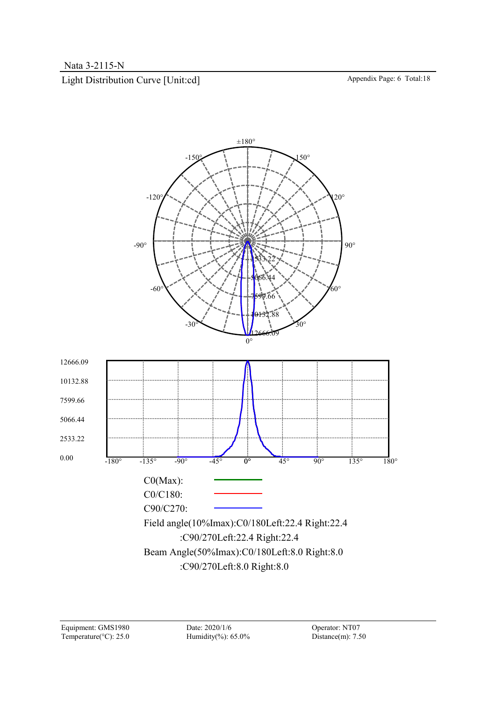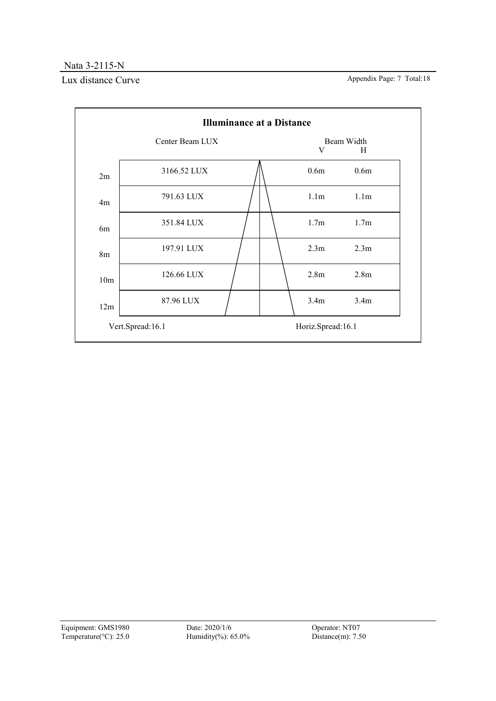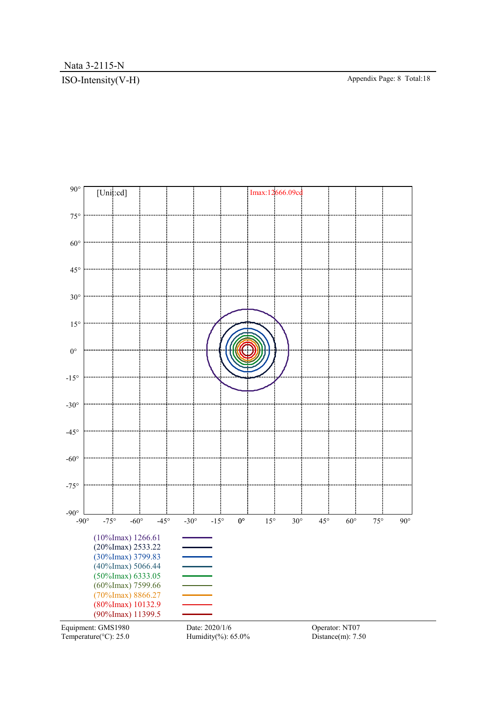## ISO-Intensity(V-H) Appendix Page: 8 Total:18



Temperature( $°C$ ): 25.0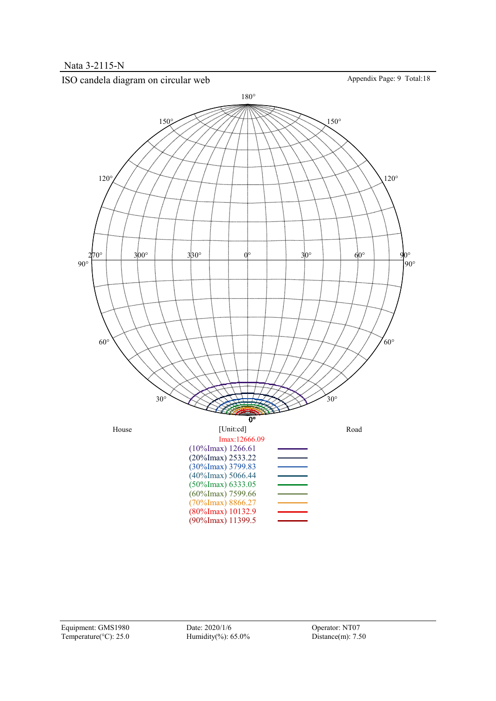

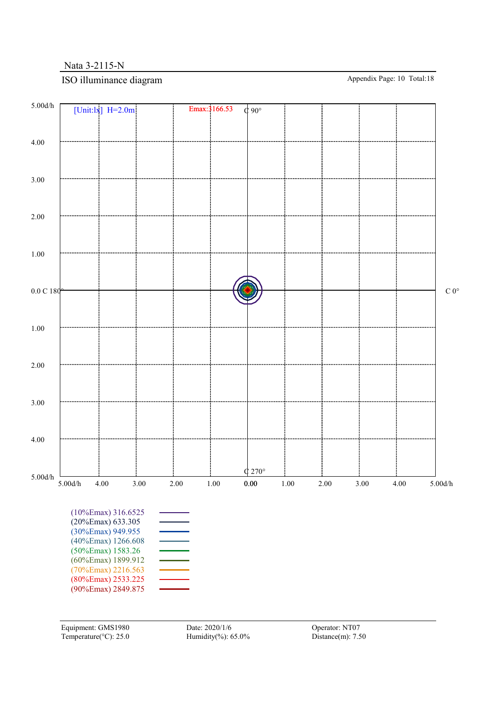## ISO illuminance diagram Appendix Page: 10 Total:18

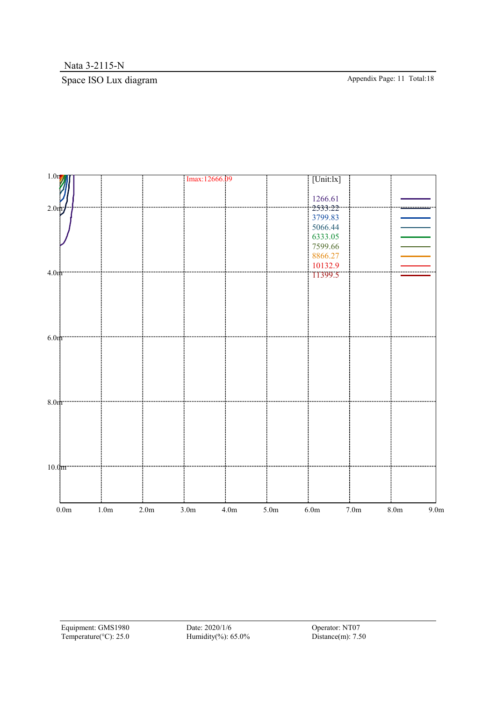# Space ISO Lux diagram Appendix Page: 11 Total:18

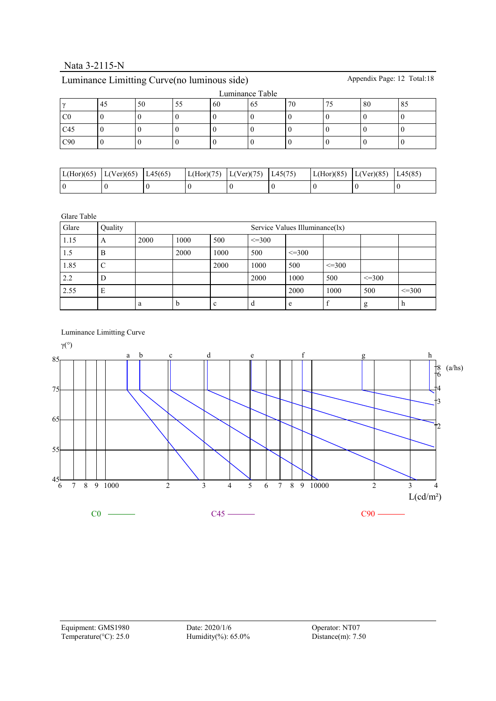# Luminance Limitting Curve(no luminous side) Appendix Page: 12 Total:18

| Luminance Table |     |    |    |    |     |    |  |    |    |  |  |
|-----------------|-----|----|----|----|-----|----|--|----|----|--|--|
|                 | -43 | 50 | DЭ | 60 | -65 | 70 |  | 80 | 85 |  |  |
| CC              |     |    |    |    |     |    |  |    |    |  |  |
| C45             |     |    |    |    |     |    |  |    |    |  |  |
| C90             |     |    |    |    |     |    |  |    |    |  |  |

| L(Hor)(65) | L(Ver)(65) | L45(65) | L(Hor)(75)  L(Ver)(75) | L45(75) | L(Hor)(85)  L(Ver)(85) | L <sub>45</sub> (85 |
|------------|------------|---------|------------------------|---------|------------------------|---------------------|
|            |            |         |                        |         |                        |                     |

Glare Table

| Glare | Quality |      | Service Values Illuminance(lx) |      |              |              |              |             |              |  |  |  |
|-------|---------|------|--------------------------------|------|--------------|--------------|--------------|-------------|--------------|--|--|--|
| 1.15  | A       | 2000 | 1000                           | 500  | $\leq$ = 300 |              |              |             |              |  |  |  |
| 1.5   | B       |      | 2000                           | 1000 | 500          | $\leq$ = 300 |              |             |              |  |  |  |
| 1.85  | ◡       |      |                                | 2000 | 1000         | 500          | $\leq$ = 300 |             |              |  |  |  |
| 2.2   | D       |      |                                |      | 2000         | 1000         | 500          | $\leq$ =300 |              |  |  |  |
| 2.55  | E       |      |                                |      |              | 2000         | 1000         | 500         | $\leq$ = 300 |  |  |  |
|       |         | a    | n                              | c    | d            | e            |              | g           | n            |  |  |  |

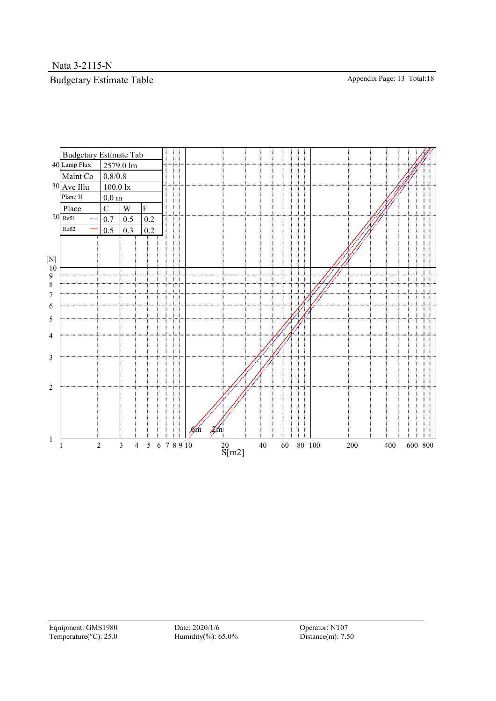Nata 3-2115-N

# Budgetary Estimate Table Appendix Page: 13 Total:18

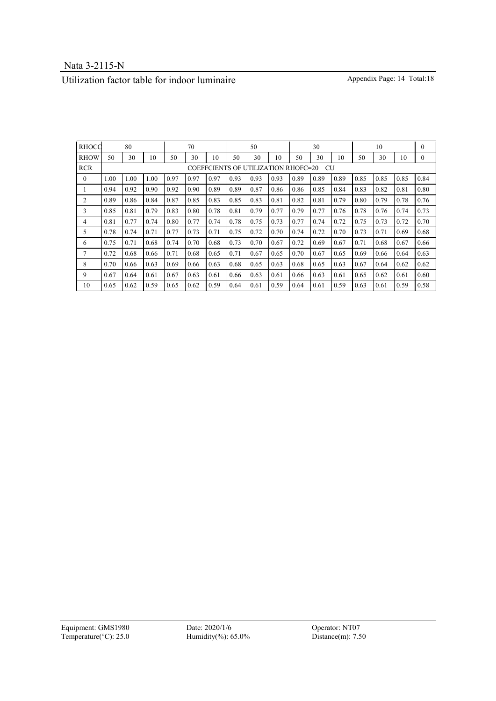## Utilization factor table for indoor luminaire Appendix Page: 14 Total:18

| <b>RHOCC</b> |      | 80   |      |      | 70   |      |      | 50                                  |      | 30   |           |      | 10   |      |      | $\mathbf{0}$ |
|--------------|------|------|------|------|------|------|------|-------------------------------------|------|------|-----------|------|------|------|------|--------------|
| <b>RHOW</b>  | 50   | 30   | 10   | 50   | 30   | 10   | 50   | 30                                  | 10   | 50   | 30        | 10   | 50   | 30   | 10   | $\mathbf{0}$ |
| <b>RCR</b>   |      |      |      |      |      |      |      | COEFFCIENTS OF UTILIZATION RHOFC=20 |      |      | <b>CU</b> |      |      |      |      |              |
| $\theta$     | 1.00 | 1.00 | 1.00 | 0.97 | 0.97 | 0.97 | 0.93 | 0.93                                | 0.93 | 0.89 | 0.89      | 0.89 | 0.85 | 0.85 | 0.85 | 0.84         |
|              | 0.94 | 0.92 | 0.90 | 0.92 | 0.90 | 0.89 | 0.89 | 0.87                                | 0.86 | 0.86 | 0.85      | 0.84 | 0.83 | 0.82 | 0.81 | 0.80         |
| 2            | 0.89 | 0.86 | 0.84 | 0.87 | 0.85 | 0.83 | 0.85 | 0.83                                | 0.81 | 0.82 | 0.81      | 0.79 | 0.80 | 0.79 | 0.78 | 0.76         |
| 3            | 0.85 | 0.81 | 0.79 | 0.83 | 0.80 | 0.78 | 0.81 | 0.79                                | 0.77 | 0.79 | 0.77      | 0.76 | 0.78 | 0.76 | 0.74 | 0.73         |
| 4            | 0.81 | 0.77 | 0.74 | 0.80 | 0.77 | 0.74 | 0.78 | 0.75                                | 0.73 | 0.77 | 0.74      | 0.72 | 0.75 | 0.73 | 0.72 | 0.70         |
| 5            | 0.78 | 0.74 | 0.71 | 0.77 | 0.73 | 0.71 | 0.75 | 0.72                                | 0.70 | 0.74 | 0.72      | 0.70 | 0.73 | 0.71 | 0.69 | 0.68         |
| 6            | 0.75 | 0.71 | 0.68 | 0.74 | 0.70 | 0.68 | 0.73 | 0.70                                | 0.67 | 0.72 | 0.69      | 0.67 | 0.71 | 0.68 | 0.67 | 0.66         |
|              | 0.72 | 0.68 | 0.66 | 0.71 | 0.68 | 0.65 | 0.71 | 0.67                                | 0.65 | 0.70 | 0.67      | 0.65 | 0.69 | 0.66 | 0.64 | 0.63         |
| 8            | 0.70 | 0.66 | 0.63 | 0.69 | 0.66 | 0.63 | 0.68 | 0.65                                | 0.63 | 0.68 | 0.65      | 0.63 | 0.67 | 0.64 | 0.62 | 0.62         |
| 9            | 0.67 | 0.64 | 0.61 | 0.67 | 0.63 | 0.61 | 0.66 | 0.63                                | 0.61 | 0.66 | 0.63      | 0.61 | 0.65 | 0.62 | 0.61 | 0.60         |
| 10           | 0.65 | 0.62 | 0.59 | 0.65 | 0.62 | 0.59 | 0.64 | 0.61                                | 0.59 | 0.64 | 0.61      | 0.59 | 0.63 | 0.61 | 0.59 | 0.58         |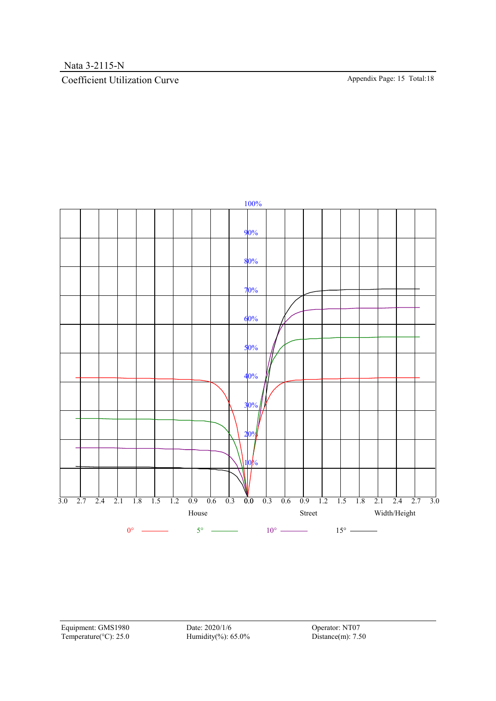## Coefficient Utilization Curve Appendix Page: 15 Total:18



Equipment: GMS1980 Date: 2020/1/6 Operator: NT07 Temperature(°C): 25.0 Humidity(%): 65.0% Distance(m): 7.50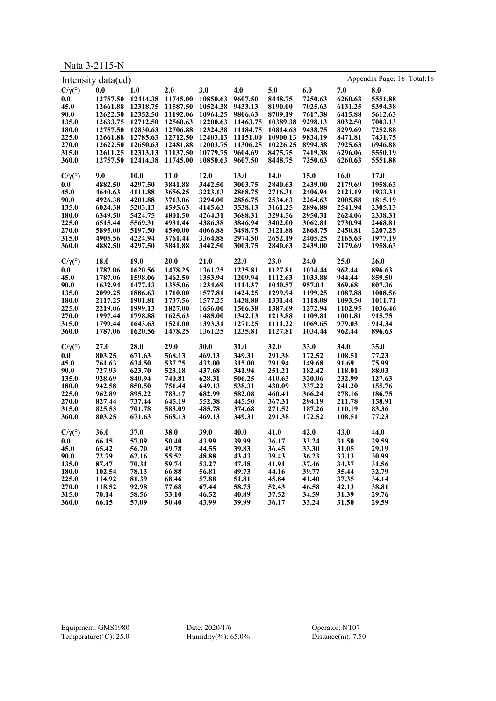Nata 3-2115-N

|                           | Intensity data(cd) |                            |                                              |                  |                   |                  |         |         | Appendix Page: 16 Total:18 |
|---------------------------|--------------------|----------------------------|----------------------------------------------|------------------|-------------------|------------------|---------|---------|----------------------------|
| $C/\gamma$ <sup>(°)</sup> | 0.0                | 1.0                        | 2.0                                          | 3.0              | 4.0               | 5.0              | 6.0     | 7.0     | 8.0                        |
| 0.0                       |                    | 12757.50 12414.38 11745.00 |                                              | 10850.63         | 9607.50           | 8448.75          | 7250.63 | 6260.63 | 5551.88                    |
| 45.0                      | 12661.88           | 12318.75                   | 11587.50                                     | 10524.38         | 9433.13           | 8190.00          | 7025.63 | 6131.25 | 5394.38                    |
|                           |                    |                            |                                              |                  |                   |                  |         |         |                            |
| 90.0                      |                    | 12622.50 12352.50 11192.06 |                                              | 10964.25 9806.63 |                   | 8709.19          | 7617.38 | 6415.88 | 5612.63                    |
| 135.0                     |                    | 12633.75 12712.50 12560.63 |                                              |                  | 12200.63 11463.75 | 10389.38 9298.13 |         | 8032.50 | 7003.13                    |
| 180.0                     |                    | 12757.50 12830.63 12706.88 |                                              | 12324.38         | 11184.75          | 10814.63         | 9438.75 | 8299.69 | 7252.88                    |
| 225.0                     |                    |                            | 12661.88 12785.63 12712.50 12403.13 11151.00 |                  |                   | 10900.13         | 9834.19 | 8471.81 | 7431.75                    |
| 270.0                     |                    | 12622.50 12650.63 12481.88 |                                              | 12003.75         | 11306.25          | 10226.25 8994.38 |         | 7925.63 | 6946.88                    |
| 315.0                     |                    | 12611.25 12313.13 11137.50 |                                              | 10779.75         | 9604.69           | 8475.75          | 7419.38 | 6296.06 | 5550.19                    |
| 360.0                     |                    | 12757.50 12414.38 11745.00 |                                              | 10850.63         | 9607.50           | 8448.75          | 7250.63 | 6260.63 | 5551.88                    |
| $C/\gamma$ <sup>(°)</sup> | 9.0                | 10.0                       | 11.0                                         | 12.0             | 13.0              | 14.0             | 15.0    | 16.0    | 17.0                       |
| 0.0                       | 4882.50            | 4297.50                    | 3841.88                                      | 3442.50          | 3003.75           | 2840.63          | 2439.00 | 2179.69 | 1958.63                    |
| 45.0                      | 4640.63            | 4111.88                    | 3656.25                                      | 3223.13          | 2868.75           | 2716.31          | 2406.94 | 2121.19 | 1933.31                    |
| 90.0                      | 4926.38            | 4201.88                    | 3713.06                                      | 3294.00          | 2886.75           | 2534.63          | 2264.63 | 2005.88 | 1815.19                    |
| 135.0                     | 6024.38            | 5203.13                    | 4595.63                                      | 4145.63          | 3538.13           | 3161.25          | 2896.88 | 2541.94 | 2305.13                    |
| 180.0                     | 6349.50            | 5424.75                    | 4801.50                                      | 4264.31          | 3688.31           | 3294.56          | 2950.31 | 2624.06 | 2338.31                    |
| 225.0                     | 6515.44            | 5569.31                    | 4931.44                                      | 4386.38          | 3846.94           | 3402.00          | 3062.81 | 2730.94 | 2468.81                    |
| 270.0                     | 5895.00            | 5197.50                    | 4590.00                                      | 4066.88          | 3498.75           | 3121.88          | 2868.75 | 2450.81 | 2207.25                    |
| 315.0                     | 4905.56            | 4224.94                    | 3761.44                                      | 3364.88          | 2974.50           | 2652.19          | 2405.25 | 2165.63 | 1977.19                    |
| 360.0                     | 4882.50            | 4297.50                    | 3841.88                                      | 3442.50          | 3003.75           | 2840.63          | 2439.00 | 2179.69 | 1958.63                    |
|                           |                    |                            |                                              |                  |                   |                  |         |         |                            |
| $C/\gamma$ <sup>(°)</sup> | 18.0               | 19.0                       | 20.0                                         | 21.0             | 22.0              | 23.0             | 24.0    | 25.0    | 26.0                       |
| 0.0                       | 1787.06            | 1620.56                    | 1478.25                                      | 1361.25          | 1235.81           | 1127.81          | 1034.44 | 962.44  | 896.63                     |
| 45.0                      | 1787.06            | 1598.06                    | 1462.50                                      | 1353.94          | 1209.94           | 1112.63          | 1033.88 | 944.44  | 859.50                     |
| 90.0                      | 1632.94            | 1477.13                    | 1355.06                                      | 1234.69          | 1114.37           | 1040.57          | 957.04  | 869.68  | 807.36                     |
| 135.0                     | 2099.25            | 1886.63                    | 1710.00                                      | 1577.81          | 1424.25           | 1299.94          | 1199.25 | 1087.88 | 1008.56                    |
| 180.0                     | 2117.25            | 1901.81                    | 1737.56                                      | 1577.25          | 1438.88           | 1331.44          | 1118.08 | 1093.50 | 1011.71                    |
| 225.0                     | 2219.06            | 1999.13                    | 1827.00                                      | 1656.00          | 1506.38           | 1387.69          | 1272.94 | 1102.95 | 1036.46                    |
| 270.0                     | 1997.44            | 1798.88                    | 1625.63                                      | 1485.00          | 1342.13           | 1213.88          | 1109.81 | 1001.81 | 915.75                     |
| 315.0                     | 1799.44            | 1643.63                    | 1521.00                                      | 1393.31          | 1271.25           | 1111.22          | 1069.65 | 979.03  | 914.34                     |
| 360.0                     | 1787.06            | 1620.56                    | 1478.25                                      | 1361.25          | 1235.81           | 1127.81          | 1034.44 | 962.44  | 896.63                     |
| $C/\gamma$ (°)            | 27.0               | 28.0                       | 29.0                                         | 30.0             | 31.0              | 32.0             | 33.0    | 34.0    | 35.0                       |
| 0.0                       | 803.25             | 671.63                     | 568.13                                       | 469.13           | 349.31            | 291.38           | 172.52  | 108.51  | 77.23                      |
| 45.0                      | 761.63             | 634.50                     | 537.75                                       | 432.00           | 315.00            | 291.94           | 149.68  | 91.69   | 75.99                      |
| 90.0                      | 727.93             | 623.70                     | 523.18                                       | 437.68           | 341.94            | 251.21           | 182.42  | 118.01  | 88.03                      |
| 135.0                     | 928.69             | 840.94                     | 740.81                                       | 628.31           | 506.25            | 410.63           | 320.06  | 232.99  | 127.63                     |
| 180.0                     | 942.58             | 850.50                     | 751.44                                       | 649.13           | 538.31            | 430.09           | 337.22  | 241.20  | 155.76                     |
| 225.0                     | 962.89             | 895.22                     | 783.17                                       | 682.99           | 582.08            | 460.41           | 366.24  | 278.16  | 186.75                     |
| 270.0                     | 827.44             | 737.44                     | 645.19                                       | 552.38           | 445.50            | 367.31           | 294.19  | 211.78  | 158.91                     |
|                           | 825.53             | 701.78                     | 583.09                                       | 485.78           | 374.68            | 271.52           | 187.26  | 110.19  | 83.36                      |
| 315.0                     |                    |                            |                                              | 469.13           |                   |                  |         |         |                            |
| 360.0                     | 803.25             | 671.63                     | 568.13                                       |                  | 349.31            | 291.38           | 172.52  | 108.51  | 77.23                      |
| $C/\gamma$ <sup>(°)</sup> | 36.0               | 37.0                       | 38.0                                         | 39.0             | 40.0              | 41.0             | 42.0    | 43.0    | 44.0                       |
| 0.0                       | 66.15              | 57.09                      | 50.40                                        | 43.99            | 39.99             | 36.17            | 33.24   | 31.50   | 29.59                      |
| 45.0                      | 65.42              | 56.70                      | 49.78                                        | 44.55            | 39.83             | 36.45            | 33.30   | 31.05   | 29.19                      |
| 90.0                      | 72.79              | 62.16                      | 55.52                                        | 48.88            | 43.43             | 39.43            | 36.23   | 33.13   | 30.99                      |
| 135.0                     | 87.47              | 70.31                      | 59.74                                        | 53.27            | 47.48             | 41.91            | 37.46   | 34.37   | 31.56                      |
| 180.0                     | 102.54             | 78.13                      | 66.88                                        | 56.81            | 49.73             | 44.16            | 39.77   | 35.44   | 32.79                      |
| 225.0                     | 114.92             | 81.39                      | 68.46                                        | 57.88            | 51.81             | 45.84            | 41.40   | 37.35   | 34.14                      |
| 270.0                     | 118.52             | 92.98                      | 77.68                                        | 67.44            | 58.73             | 52.43            | 46.58   | 42.13   | 38.81                      |
| 315.0                     | 70.14              | 58.56                      | 53.10                                        | 46.52            | 40.89             | 37.52            | 34.59   | 31.39   | 29.76                      |
| 360.0                     | 66.15              | 57.09                      | 50.40                                        | 43.99            | 39.99             | 36.17            | 33.24   | 31.50   | 29.59                      |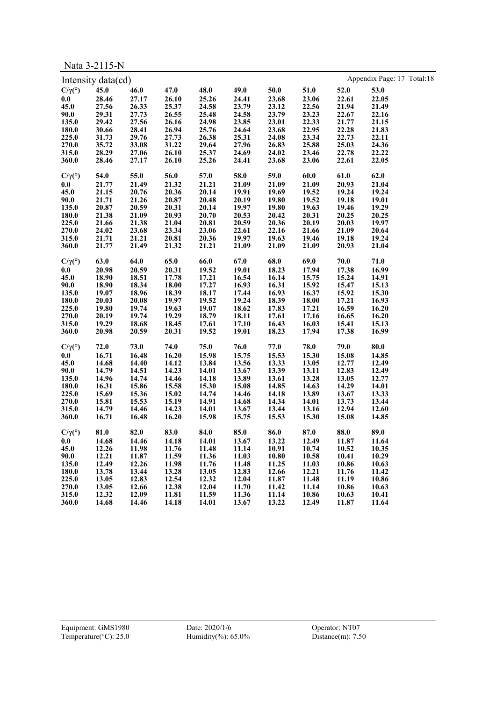Nata 3-2115-N

|                           | Intensity data(cd) |       |             |       |             |       |       |       | Appendix Page: 17 Total:18 |  |
|---------------------------|--------------------|-------|-------------|-------|-------------|-------|-------|-------|----------------------------|--|
| $C/\gamma$ <sup>(°)</sup> | 45.0               | 46.0  | 47.0        | 48.0  | 49.0        | 50.0  | 51.0  | 52.0  | 53.0                       |  |
| 0.0                       | 28.46              | 27.17 | 26.10       | 25.26 | 24.41       | 23.68 | 23.06 | 22.61 | 22.05                      |  |
| 45.0                      | 27.56              | 26.33 | 25.37       | 24.58 | 23.79       | 23.12 | 22.56 | 21.94 | 21.49                      |  |
| 90.0                      | 29.31              | 27.73 | 26.55       | 25.48 | 24.58       | 23.79 | 23.23 | 22.67 | 22.16                      |  |
| 135.0                     | 29.42              | 27.56 | 26.16       | 24.98 | 23.85       | 23.01 | 22.33 | 21.77 | 21.15                      |  |
| 180.0                     | 30.66              | 28.41 | 26.94       | 25.76 | 24.64       | 23.68 | 22.95 | 22.28 | 21.83                      |  |
| 225.0                     | 31.73              | 29.76 | 27.73       | 26.38 | 25.31       | 24.08 | 23.34 | 22.73 | 22.11                      |  |
| 270.0                     | 35.72              | 33.08 | 31.22       | 29.64 | 27.96       | 26.83 | 25.88 | 25.03 | 24.36                      |  |
| 315.0                     | 28.29              | 27.06 | 26.10       | 25.37 | 24.69       | 24.02 | 23.46 | 22.78 | 22.22                      |  |
| 360.0                     | 28.46              | 27.17 | 26.10       | 25.26 | 24.41       | 23.68 | 23.06 | 22.61 | 22.05                      |  |
|                           |                    |       |             |       |             |       |       |       |                            |  |
| $C/\gamma$ <sup>(°)</sup> | 54.0               | 55.0  | 56.0        | 57.0  | 58.0        | 59.0  | 60.0  | 61.0  | 62.0                       |  |
| 0.0                       | 21.77              | 21.49 | 21.32       | 21.21 | 21.09       | 21.09 | 21.09 | 20.93 | 21.04                      |  |
| 45.0                      | 21.15              | 20.76 | 20.36       | 20.14 | 19.91       | 19.69 | 19.52 | 19.24 | 19.24                      |  |
| 90.0                      | 21.71              | 21.26 | 20.87       | 20.48 | 20.19       | 19.80 | 19.52 | 19.18 | 19.01                      |  |
| 135.0                     | 20.87              | 20.59 | 20.31       | 20.14 | 19.97       | 19.80 | 19.63 | 19.46 | 19.29                      |  |
| 180.0                     | 21.38              | 21.09 | 20.93       | 20.70 | 20.53       | 20.42 | 20.31 | 20.25 | 20.25                      |  |
| 225.0                     | 21.66              | 21.38 | 21.04       | 20.81 | 20.59       | 20.36 | 20.19 | 20.03 | 19.97                      |  |
| 270.0                     | 24.02              | 23.68 | 23.34       | 23.06 | 22.61       | 22.16 | 21.66 | 21.09 | 20.64                      |  |
| 315.0                     | 21.71              | 21.21 | 20.81       | 20.36 | 19.97       | 19.63 | 19.46 | 19.18 | 19.24                      |  |
| 360.0                     | 21.77              | 21.49 | 21.32       | 21.21 | 21.09       | 21.09 | 21.09 | 20.93 | 21.04                      |  |
| $C/\gamma$ <sup>(°)</sup> | 63.0               | 64.0  | 65.0        | 66.0  | 67.0        | 68.0  | 69.0  | 70.0  | 71.0                       |  |
| 0.0                       | 20.98              | 20.59 | 20.31       | 19.52 | 19.01       | 18.23 | 17.94 | 17.38 | 16.99                      |  |
| 45.0                      | 18.90              | 18.51 | 17.78       | 17.21 | 16.54       | 16.14 | 15.75 | 15.24 | 14.91                      |  |
| 90.0                      | 18.90              | 18.34 | 18.00       | 17.27 | 16.93       | 16.31 | 15.92 | 15.47 | 15.13                      |  |
| 135.0                     | 19.07              | 18.96 | 18.39       | 18.17 | 17.44       | 16.93 | 16.37 | 15.92 | 15.30                      |  |
| 180.0                     | 20.03              | 20.08 | 19.97       | 19.52 | 19.24       | 18.39 | 18.00 | 17.21 | 16.93                      |  |
| 225.0                     | 19.80              | 19.74 | 19.63       | 19.07 | 18.62       | 17.83 | 17.21 | 16.59 | 16.20                      |  |
| 270.0                     | 20.19              | 19.74 | 19.29       | 18.79 | 18.11       | 17.61 | 17.16 | 16.65 | 16.20                      |  |
| 315.0                     | 19.29              | 18.68 | 18.45       | 17.61 | 17.10       | 16.43 | 16.03 | 15.41 | 15.13                      |  |
| 360.0                     | 20.98              | 20.59 | 20.31       | 19.52 | 19.01       | 18.23 | 17.94 | 17.38 | 16.99                      |  |
|                           |                    |       |             |       |             |       |       |       |                            |  |
| $C/\gamma$ <sup>(°)</sup> | 72.0               | 73.0  | 74.0        | 75.0  | 76.0        | 77.0  | 78.0  | 79.0  | 80.0                       |  |
| 0.0                       | 16.71              | 16.48 | 16.20       | 15.98 | 15.75       | 15.53 | 15.30 | 15.08 | 14.85                      |  |
| 45.0                      | 14.68              | 14.40 | 14.12       | 13.84 | 13.56       | 13.33 | 13.05 | 12.77 | 12.49                      |  |
| 90.0                      | 14.79              | 14.51 | 14.23       | 14.01 | 13.67       | 13.39 | 13.11 | 12.83 | 12.49                      |  |
| 135.0                     | 14.96              | 14.74 | 14.46       | 14.18 | 13.89       | 13.61 | 13.28 | 13.05 | 12.77                      |  |
| 180.0                     | 16.31              | 15.86 | 15.58       | 15.30 | 15.08       | 14.85 | 14.63 | 14.29 | 14.01                      |  |
| 225.0                     | 15.69              | 15.36 | 15.02       | 14.74 | 14.46       | 14.18 | 13.89 | 13.67 | 13.33                      |  |
| 270.0                     | 15.81              | 15.53 | 15.19       | 14.91 | 14.68       | 14.34 | 14.01 | 13.73 | 13.44                      |  |
| 315.0                     | 14.79              | 14.46 | 14.23       | 14.01 | 13.67       | 13.44 | 13.16 | 12.94 | 12.60                      |  |
| 360.0                     | 16.71              | 16.48 | 16.20       | 15.98 | 15.75       | 15.53 | 15.30 | 15.08 | 14.85                      |  |
| $C/\gamma$ <sup>(°)</sup> | 81.0               | 82.0  | 83.0        | 84.0  | 85.0        | 86.0  | 87.0  | 88.0  | 89.0                       |  |
| 0.0                       | 14.68              |       | 14.46 14.18 |       | 14.01 13.67 | 13.22 | 12.49 | 11.87 | 11.64                      |  |
| 45.0                      | 12.26              | 11.98 | 11.76       | 11.48 | 11.14       | 10.91 | 10.74 | 10.52 | 10.35                      |  |
| 90.0                      | 12.21              | 11.87 | 11.59       | 11.36 | 11.03       | 10.80 | 10.58 | 10.41 | 10.29                      |  |
| 135.0                     | 12.49              | 12.26 | 11.98       | 11.76 | 11.48       | 11.25 | 11.03 | 10.86 | 10.63                      |  |
| 180.0                     | 13.78              | 13.44 | 13.28       | 13.05 | 12.83       | 12.66 | 12.21 | 11.76 | 11.42                      |  |
| 225.0                     | 13.05              | 12.83 | 12.54       | 12.32 | 12.04       | 11.87 | 11.48 | 11.19 | 10.86                      |  |
| 270.0                     | 13.05              | 12.66 | 12.38       | 12.04 | 11.70       | 11.42 | 11.14 | 10.86 | 10.63                      |  |
| 315.0                     | 12.32              | 12.09 | 11.81       | 11.59 | 11.36       | 11.14 | 10.86 | 10.63 | 10.41                      |  |
| 360.0                     | 14.68              | 14.46 | 14.18       | 14.01 | 13.67       | 13.22 | 12.49 | 11.87 | 11.64                      |  |
|                           |                    |       |             |       |             |       |       |       |                            |  |